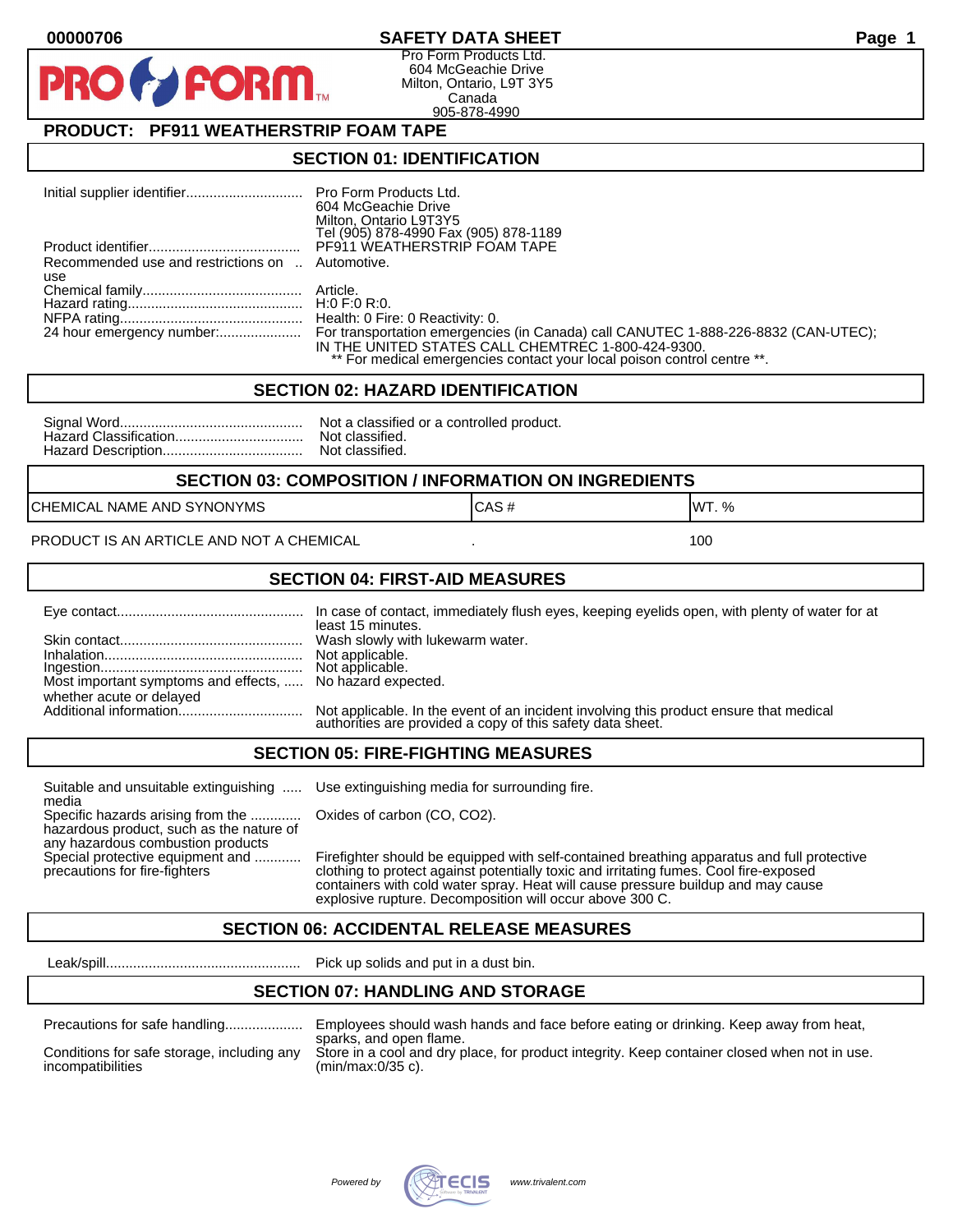#### **00000706 SAFETY DATA SHEET Page 1**

Pro Form Products Ltd. 604 McGeachie Drive Milton, Ontario, L9T 3Y5 Canada 905-878-4990

## **PRODUCT: PF911 WEATHERSTRIP FOAM TAPE**

**FORM** 

#### **SECTION 01: IDENTIFICATION**

|                                                  | 604 McGeachie Drive                                                     |
|--------------------------------------------------|-------------------------------------------------------------------------|
|                                                  | Milton, Ontario L9T3Y5                                                  |
|                                                  | Tel (905) 878-4990 Fax (905) 878-1189                                   |
|                                                  | PF911 WEATHERSTRIP FOAM TAPE                                            |
| Recommended use and restrictions on  Automotive. |                                                                         |
| use                                              |                                                                         |
|                                                  |                                                                         |
|                                                  |                                                                         |
|                                                  |                                                                         |
|                                                  |                                                                         |
|                                                  | IN THE UNITED STATES CALL CHEMTREC 1-800-424-9300.                      |
|                                                  | ** For medical emergencies contact your local poison control centre **. |

#### **SECTION 02: HAZARD IDENTIFICATION**

| Nc |
|----|
| No |
| No |

ot a classified or a controlled product. ot classified. ot classified.

#### **SECTION 03: COMPOSITION / INFORMATION ON INGREDIENTS**

CHEMICAL NAME AND SYNONYMS GAS AND CAS # CAS # WT. %

PRODUCT IS AN ARTICLE AND NOT A CHEMICAL **AND THE SET AND A SET ALL ASSAULT** 100

#### **SECTION 04: FIRST-AID MEASURES**

|                                                                                       | least 15 minutes.                                                                                                                                    |
|---------------------------------------------------------------------------------------|------------------------------------------------------------------------------------------------------------------------------------------------------|
|                                                                                       |                                                                                                                                                      |
| Most important symptoms and effects,  No hazard expected.<br>whether acute or delayed |                                                                                                                                                      |
|                                                                                       | Not applicable. In the event of an incident involving this product ensure that medical<br>authorities are provided a copy of this safety data sheet. |

#### **SECTION 05: FIRE-FIGHTING MEASURES**

Suitable and unsuitable extinguishing ..... Use extinguishing media for surrounding fire. media

Specific hazards arising from the ............. Oxides of carbon (CO, CO2). hazardous product, such as the nature of any hazardous combustion products

Special protective equipment and ............ Firefighter should be equipped with self-contained breathing apparatus and full protective<br>precautions for fire-fighters continent clothing to protect against potentially toxic clothing to protect against potentially toxic and irritating fumes. Cool fire-exposed containers with cold water spray. Heat will cause pressure buildup and may cause explosive rupture. Decomposition will occur above 300 C.

## **SECTION 06: ACCIDENTAL RELEASE MEASURES**

Leak/spill.................................................. Pick up solids and put in a dust bin.

## **SECTION 07: HANDLING AND STORAGE**

| Precautions for safe handling |  |  |
|-------------------------------|--|--|
|                               |  |  |

incompatibilities (min/max:0/35 c).

Precautions for safe handling.................... Employees should wash hands and face before eating or drinking. Keep away from heat, sparks, and open flame. Conditions for safe storage, including any Store in a cool and dry place, for product integrity. Keep container closed when not in use.

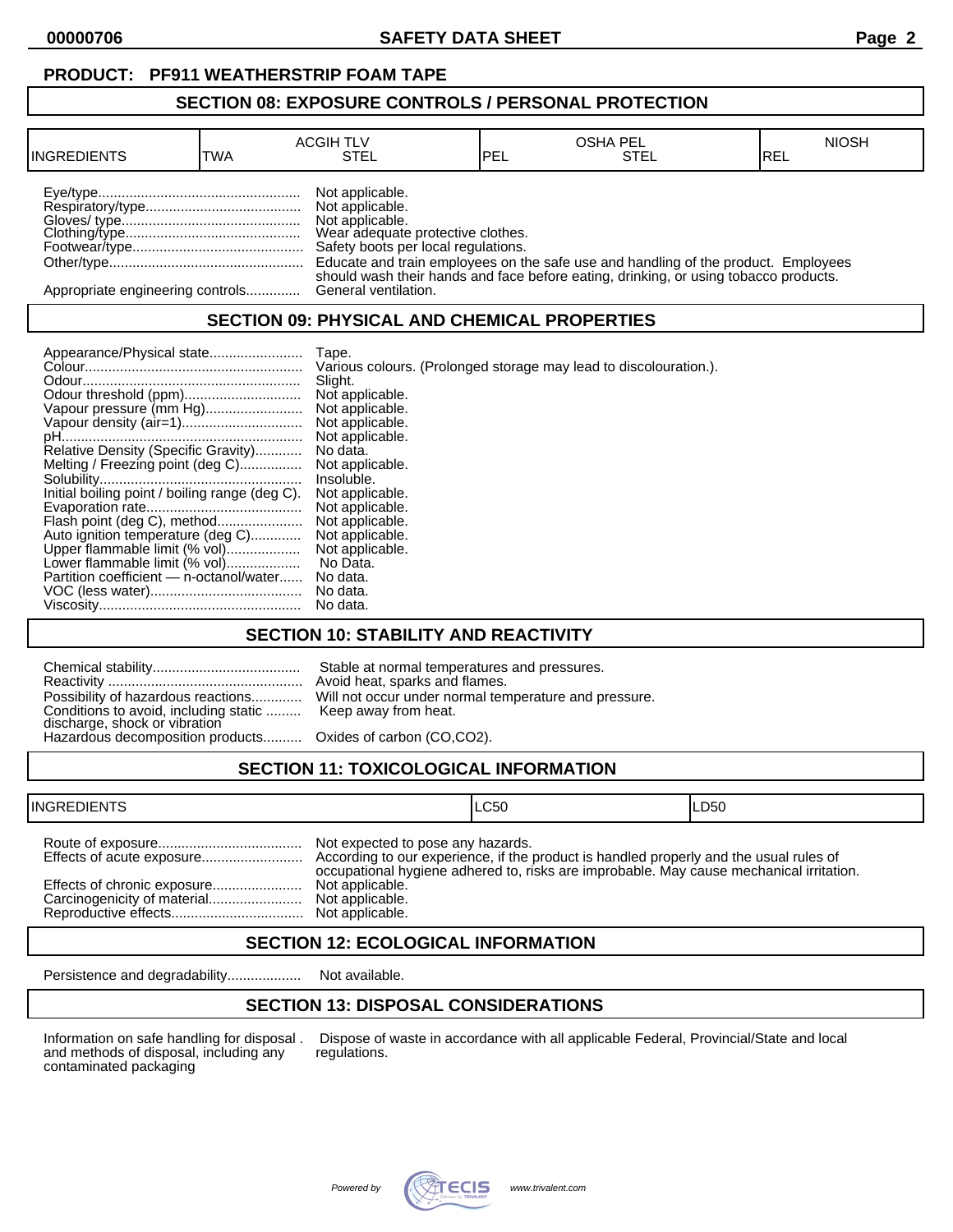**00000706 SAFETY DATA SHEET Page 2**

#### **SECTION 08: EXPOSURE CONTROLS / PERSONAL PROTECTION**

| <b>INGREDIENTS</b>               | TWA | <b>ACGIH TLV</b><br>STEL                                                                                                          | PEL | <b>OSHA PEL</b><br>STEL                                                              | <b>NIOSH</b><br>IREL |
|----------------------------------|-----|-----------------------------------------------------------------------------------------------------------------------------------|-----|--------------------------------------------------------------------------------------|----------------------|
|                                  |     | Not applicable.<br>Not applicable.<br>Not applicable.<br>Wear adequate protective clothes.<br>Safety boots per local regulations. |     | Educate and train employees on the safe use and handling of the product. Employees   |                      |
| Appropriate engineering controls |     | General ventilation.                                                                                                              |     | should wash their hands and face before eating, drinking, or using tobacco products. |                      |

## **SECTION 09: PHYSICAL AND CHEMICAL PROPERTIES**

|                                                | Tape.                                                             |
|------------------------------------------------|-------------------------------------------------------------------|
|                                                | Various colours. (Prolonged storage may lead to discolouration.). |
|                                                | Slight.                                                           |
|                                                | Not applicable.                                                   |
| Vapour pressure (mm Hg)                        | Not applicable.                                                   |
|                                                | Not applicable.                                                   |
|                                                | Not applicable.                                                   |
| Relative Density (Specific Gravity)            | No data.                                                          |
| Melting / Freezing point (deg C)               | Not applicable.                                                   |
|                                                | Insoluble.                                                        |
| Initial boiling point / boiling range (deg C). | Not applicable.                                                   |
|                                                | Not applicable.                                                   |
| Flash point (deg C), method                    | Not applicable.                                                   |
| Auto ignition temperature (deg C)              | Not applicable.                                                   |
| Upper flammable limit (% vol)                  | Not applicable.                                                   |
| Lower flammable limit (% vol)                  | No Data.                                                          |
| Partition coefficient - n-octanol/water        | No data.                                                          |
|                                                | No data.                                                          |
|                                                | No data.                                                          |

## **SECTION 10: STABILITY AND REACTIVITY**

| Conditions to avoid, including static  Keep away from heat.<br>discharge, shock or vibration<br>Hazardous decomposition products Oxides of carbon (CO,CO2). | Stable at normal temperatures and pressures.<br>Avoid heat, sparks and flames.<br>Possibility of hazardous reactions Will not occur under normal temperature and pressure. |
|-------------------------------------------------------------------------------------------------------------------------------------------------------------|----------------------------------------------------------------------------------------------------------------------------------------------------------------------------|
|                                                                                                                                                             |                                                                                                                                                                            |

# **SECTION 11: TOXICOLOGICAL INFORMATION**

| <b>INGREDIENTS</b> |                                                                         | ILC50                                                                                   | ILD50 |
|--------------------|-------------------------------------------------------------------------|-----------------------------------------------------------------------------------------|-------|
|                    | Not expected to pose any hazards.<br>Not applicable.<br>Not applicable. | occupational hygiene adhered to, risks are improbable. May cause mechanical irritation. |       |

## **SECTION 12: ECOLOGICAL INFORMATION**

Persistence and degradability................... Not available.

# **SECTION 13: DISPOSAL CONSIDERATIONS**

and methods of disposal, including any contaminated packaging

Information on safe handling for disposal . Dispose of waste in accordance with all applicable Federal, Provincial/State and local